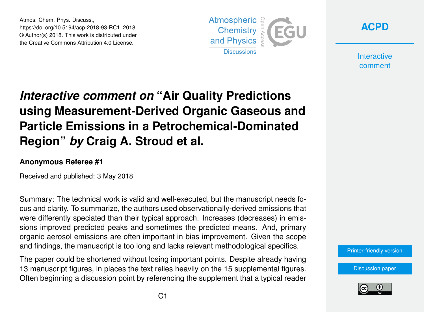Atmos. Chem. Phys. Discuss., https://doi.org/10.5194/acp-2018-93-RC1, 2018 © Author(s) 2018. This work is distributed under the Creative Commons Attribution 4.0 License.





**Interactive** comment

## *Interactive comment on* **"Air Quality Predictions using Measurement-Derived Organic Gaseous and Particle Emissions in a Petrochemical-Dominated Region"** *by* **Craig A. Stroud et al.**

## **Anonymous Referee #1**

Received and published: 3 May 2018

Summary: The technical work is valid and well-executed, but the manuscript needs focus and clarity. To summarize, the authors used observationally-derived emissions that were differently speciated than their typical approach. Increases (decreases) in emissions improved predicted peaks and sometimes the predicted means. And, primary organic aerosol emissions are often important in bias improvement. Given the scope and findings, the manuscript is too long and lacks relevant methodological specifics.

The paper could be shortened without losing important points. Despite already having 13 manuscript figures, in places the text relies heavily on the 15 supplemental figures. Often beginning a discussion point by referencing the supplement that a typical reader



[Discussion paper](https://www.atmos-chem-phys-discuss.net/acp-2018-93)

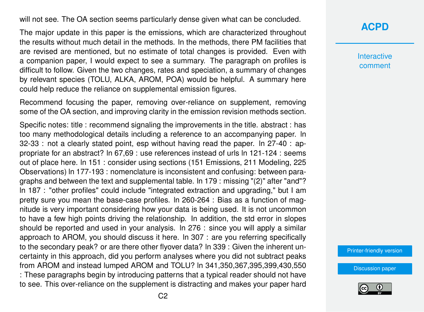will not see. The OA section seems particularly dense given what can be concluded.

The major update in this paper is the emissions, which are characterized throughout the results without much detail in the methods. In the methods, there PM facilities that are revised are mentioned, but no estimate of total changes is provided. Even with a companion paper, I would expect to see a summary. The paragraph on profiles is difficult to follow. Given the two changes, rates and speciation, a summary of changes by relevant species (TOLU, ALKA, AROM, POA) would be helpful. A summary here could help reduce the reliance on supplemental emission figures.

Recommend focusing the paper, removing over-reliance on supplement, removing some of the OA section, and improving clarity in the emission revision methods section.

Specific notes: title : recommend signaling the improvements in the title. abstract : has too many methodological details including a reference to an accompanying paper. ln 32-33 : not a clearly stated point, esp without having read the paper. ln 27-40 : appropriate for an abstract? ln 67,69 : use references instead of urls ln 121-124 : seems out of place here. ln 151 : consider using sections (151 Emissions, 211 Modeling, 225 Observations) ln 177-193 : nomenclature is inconsistent and confusing: between paragraphs and between the text and supplemental table. ln 179 : missing "(2)" after "and"? ln 187 : "other profiles" could include "integrated extraction and upgrading," but I am pretty sure you mean the base-case profiles. ln 260-264 : Bias as a function of magnitude is very important considering how your data is being used. It is not uncommon to have a few high points driving the relationship. In addition, the std error in slopes should be reported and used in your analysis. ln 276 : since you will apply a similar approach to AROM, you should discuss it here. ln 307 : are you referring specifically to the secondary peak? or are there other flyover data? ln 339 : Given the inherent uncertainty in this approach, did you perform analyses where you did not subtract peaks from AROM and instead lumped AROM and TOLU? ln 341,350,367,395,399,430,550 : These paragraphs begin by introducing patterns that a typical reader should not have to see. This over-reliance on the supplement is distracting and makes your paper hard

## **[ACPD](https://www.atmos-chem-phys-discuss.net/)**

**Interactive** comment

[Printer-friendly version](https://www.atmos-chem-phys-discuss.net/acp-2018-93/acp-2018-93-RC1-print.pdf)

[Discussion paper](https://www.atmos-chem-phys-discuss.net/acp-2018-93)